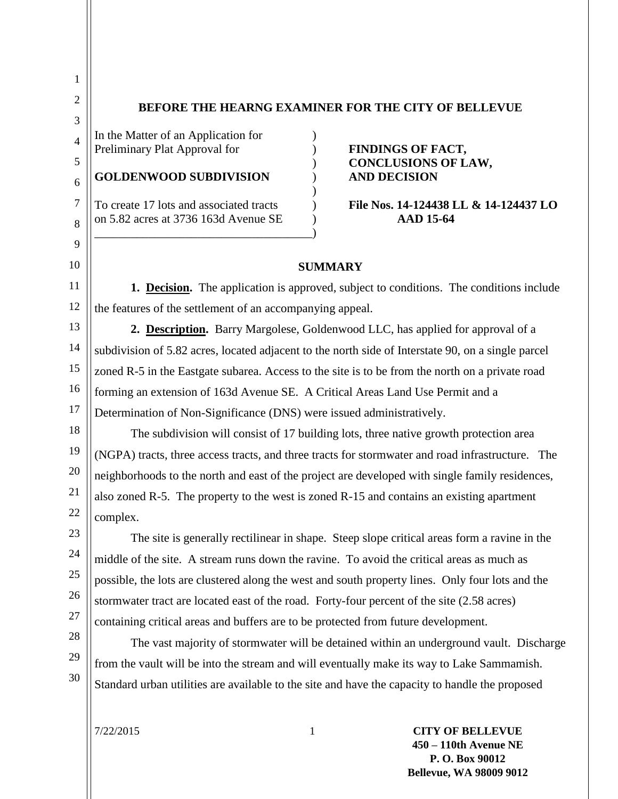## **BEFORE THE HEARNG EXAMINER FOR THE CITY OF BELLEVUE**

In the Matter of an Application for  $\qquad)$ Preliminary Plat Approval for **FINDINGS OF FACT,** 

#### **GOLDENWOOD SUBDIVISION** ) **AND DECISION**

on 5.82 acres at 3736 163d Avenue SE ) **AAD 15-64**

\_\_\_\_\_\_\_\_\_\_\_\_\_\_\_\_\_\_\_\_\_\_\_\_\_\_\_\_\_\_\_\_\_\_\_\_)

) **CONCLUSIONS OF LAW,**

# To create 17 lots and associated tracts ) **File Nos. 14-124438 LL & 14-124437 LO**

### **SUMMARY**

**1. Decision.** The application is approved, subject to conditions. The conditions include the features of the settlement of an accompanying appeal.

)

**2. Description.** Barry Margolese, Goldenwood LLC, has applied for approval of a subdivision of 5.82 acres, located adjacent to the north side of Interstate 90, on a single parcel zoned R-5 in the Eastgate subarea. Access to the site is to be from the north on a private road forming an extension of 163d Avenue SE. A Critical Areas Land Use Permit and a Determination of Non-Significance (DNS) were issued administratively.

The subdivision will consist of 17 building lots, three native growth protection area (NGPA) tracts, three access tracts, and three tracts for stormwater and road infrastructure. The neighborhoods to the north and east of the project are developed with single family residences, also zoned R-5. The property to the west is zoned R-15 and contains an existing apartment complex.

The site is generally rectilinear in shape. Steep slope critical areas form a ravine in the middle of the site. A stream runs down the ravine. To avoid the critical areas as much as possible, the lots are clustered along the west and south property lines. Only four lots and the stormwater tract are located east of the road. Forty-four percent of the site (2.58 acres) containing critical areas and buffers are to be protected from future development.

from the vault will be into the stream and will eventually make its way to Lake Sammamish.

The vast majority of stormwater will be detained within an underground vault. Discharge

28 29

26

27

30

Standard urban utilities are available to the site and have the capacity to handle the proposed

7/22/2015 1 **CITY OF BELLEVUE**-1- **450 – 110th Avenue NE P. O. Box 90012 Bellevue, WA 98009 9012**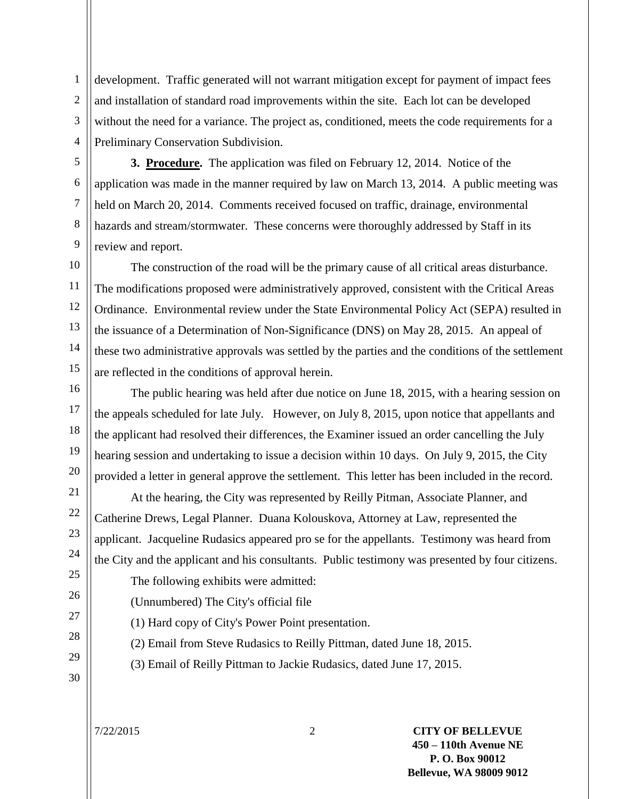1 2 3 4 development. Traffic generated will not warrant mitigation except for payment of impact fees and installation of standard road improvements within the site. Each lot can be developed without the need for a variance. The project as, conditioned, meets the code requirements for a Preliminary Conservation Subdivision.

5 6 7 8 9 **3. Procedure.** The application was filed on February 12, 2014. Notice of the application was made in the manner required by law on March 13, 2014. A public meeting was held on March 20, 2014. Comments received focused on traffic, drainage, environmental hazards and stream/stormwater. These concerns were thoroughly addressed by Staff in its review and report.

10 11 12 13 14 15 The construction of the road will be the primary cause of all critical areas disturbance. The modifications proposed were administratively approved, consistent with the Critical Areas Ordinance. Environmental review under the State Environmental Policy Act (SEPA) resulted in the issuance of a Determination of Non-Significance (DNS) on May 28, 2015. An appeal of these two administrative approvals was settled by the parties and the conditions of the settlement are reflected in the conditions of approval herein.

16 17 18 19 20 The public hearing was held after due notice on June 18, 2015, with a hearing session on the appeals scheduled for late July. However, on July 8, 2015, upon notice that appellants and the applicant had resolved their differences, the Examiner issued an order cancelling the July hearing session and undertaking to issue a decision within 10 days. On July 9, 2015, the City provided a letter in general approve the settlement. This letter has been included in the record.

At the hearing, the City was represented by Reilly Pitman, Associate Planner, and Catherine Drews, Legal Planner. Duana Kolouskova, Attorney at Law, represented the applicant. Jacqueline Rudasics appeared pro se for the appellants. Testimony was heard from the City and the applicant and his consultants. Public testimony was presented by four citizens.

The following exhibits were admitted:

(Unnumbered) The City's official file

(1) Hard copy of City's Power Point presentation.

(2) Email from Steve Rudasics to Reilly Pittman, dated June 18, 2015.

(3) Email of Reilly Pittman to Jackie Rudasics, dated June 17, 2015.

29 30

21

22

23

24 25

26

27

28

7/22/2015 2 **CITY OF BELLEVUE**-2- **450 – 110th Avenue NE P. O. Box 90012 Bellevue, WA 98009 9012**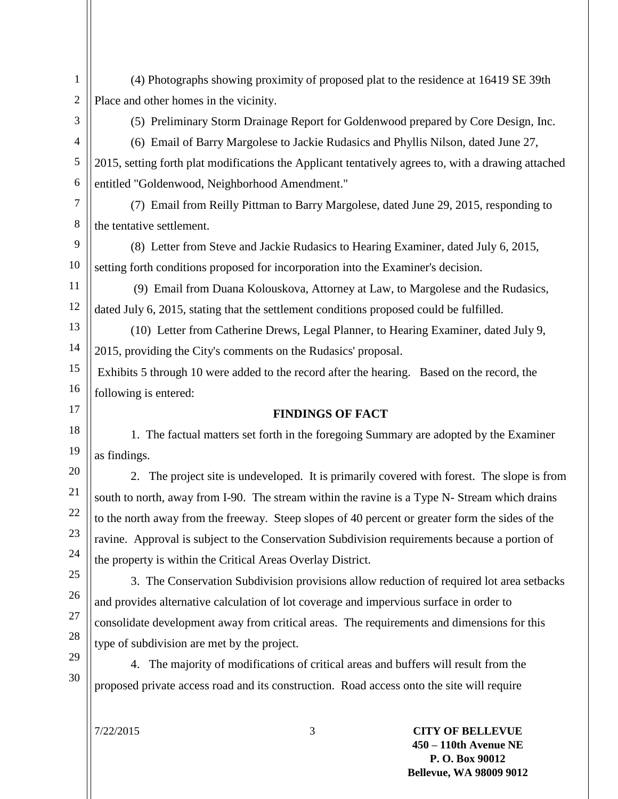1 2 (4) Photographs showing proximity of proposed plat to the residence at 16419 SE 39th Place and other homes in the vicinity.

3

(5) Preliminary Storm Drainage Report for Goldenwood prepared by Core Design, Inc.

4 5 6 (6) Email of Barry Margolese to Jackie Rudasics and Phyllis Nilson, dated June 27, 2015, setting forth plat modifications the Applicant tentatively agrees to, with a drawing attached entitled "Goldenwood, Neighborhood Amendment."

7 8 (7) Email from Reilly Pittman to Barry Margolese, dated June 29, 2015, responding to the tentative settlement.

9 10 (8) Letter from Steve and Jackie Rudasics to Hearing Examiner, dated July 6, 2015, setting forth conditions proposed for incorporation into the Examiner's decision.

11 12 (9) Email from Duana Kolouskova, Attorney at Law, to Margolese and the Rudasics, dated July 6, 2015, stating that the settlement conditions proposed could be fulfilled.

13 14 (10) Letter from Catherine Drews, Legal Planner, to Hearing Examiner, dated July 9, 2015, providing the City's comments on the Rudasics' proposal.

15 16 Exhibits 5 through 10 were added to the record after the hearing. Based on the record, the following is entered:

17 18

19 20

21 22

23

24

29

30

## **FINDINGS OF FACT**

1. The factual matters set forth in the foregoing Summary are adopted by the Examiner as findings.

2. The project site is undeveloped. It is primarily covered with forest. The slope is from south to north, away from I-90. The stream within the ravine is a Type N- Stream which drains to the north away from the freeway. Steep slopes of 40 percent or greater form the sides of the ravine. Approval is subject to the Conservation Subdivision requirements because a portion of the property is within the Critical Areas Overlay District.

25 26 27 28 3. The Conservation Subdivision provisions allow reduction of required lot area setbacks and provides alternative calculation of lot coverage and impervious surface in order to consolidate development away from critical areas. The requirements and dimensions for this type of subdivision are met by the project.

4. The majority of modifications of critical areas and buffers will result from the proposed private access road and its construction. Road access onto the site will require

7/22/2015 3 **CITY OF BELLEVUE**-3- **450 – 110th Avenue NE P. O. Box 90012 Bellevue, WA 98009 9012**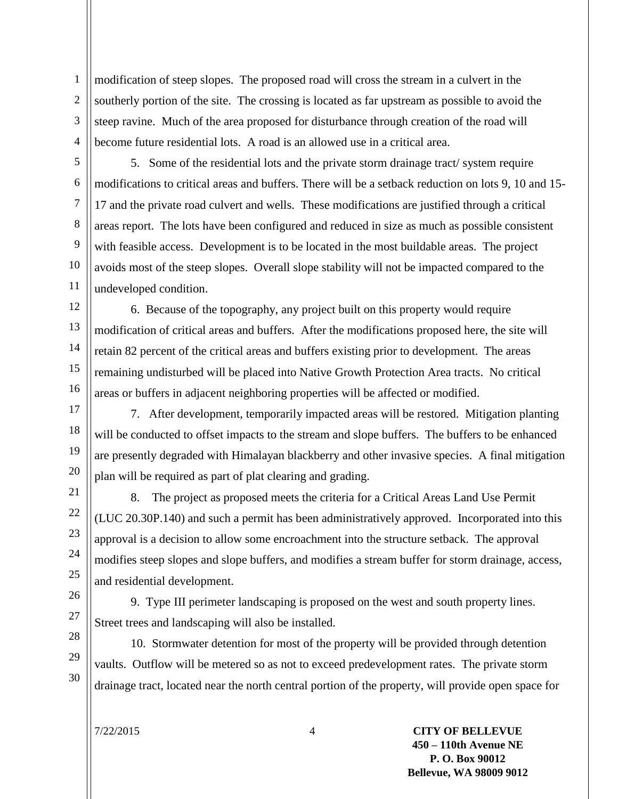1 2 3 4 modification of steep slopes. The proposed road will cross the stream in a culvert in the southerly portion of the site. The crossing is located as far upstream as possible to avoid the steep ravine. Much of the area proposed for disturbance through creation of the road will become future residential lots. A road is an allowed use in a critical area.

5 6 7 8 9 10 11 5. Some of the residential lots and the private storm drainage tract/ system require modifications to critical areas and buffers. There will be a setback reduction on lots 9, 10 and 15- 17 and the private road culvert and wells. These modifications are justified through a critical areas report. The lots have been configured and reduced in size as much as possible consistent with feasible access. Development is to be located in the most buildable areas. The project avoids most of the steep slopes. Overall slope stability will not be impacted compared to the undeveloped condition.

12 13 14 15 16 6. Because of the topography, any project built on this property would require modification of critical areas and buffers. After the modifications proposed here, the site will retain 82 percent of the critical areas and buffers existing prior to development. The areas remaining undisturbed will be placed into Native Growth Protection Area tracts. No critical areas or buffers in adjacent neighboring properties will be affected or modified.

17 18 19 20 7. After development, temporarily impacted areas will be restored. Mitigation planting will be conducted to offset impacts to the stream and slope buffers. The buffers to be enhanced are presently degraded with Himalayan blackberry and other invasive species. A final mitigation plan will be required as part of plat clearing and grading.

8. The project as proposed meets the criteria for a Critical Areas Land Use Permit (LUC 20.30P.140) and such a permit has been administratively approved. Incorporated into this approval is a decision to allow some encroachment into the structure setback. The approval modifies steep slopes and slope buffers, and modifies a stream buffer for storm drainage, access, and residential development.

9. Type III perimeter landscaping is proposed on the west and south property lines. Street trees and landscaping will also be installed.

10. Stormwater detention for most of the property will be provided through detention vaults. Outflow will be metered so as not to exceed predevelopment rates. The private storm drainage tract, located near the north central portion of the property, will provide open space for

21

22

23

24 25

26

27

28 29

30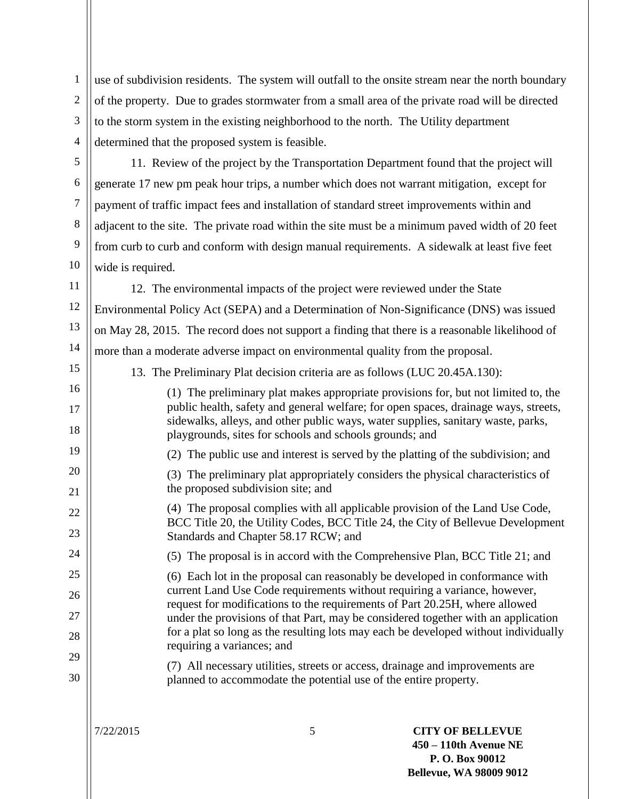1 2 3 4 use of subdivision residents. The system will outfall to the onsite stream near the north boundary of the property. Due to grades stormwater from a small area of the private road will be directed to the storm system in the existing neighborhood to the north. The Utility department determined that the proposed system is feasible.

5 6

7

8

9

10

15

11. Review of the project by the Transportation Department found that the project will generate 17 new pm peak hour trips, a number which does not warrant mitigation, except for payment of traffic impact fees and installation of standard street improvements within and adjacent to the site. The private road within the site must be a minimum paved width of 20 feet from curb to curb and conform with design manual requirements. A sidewalk at least five feet wide is required.

11 12 13 14 12. The environmental impacts of the project were reviewed under the State Environmental Policy Act (SEPA) and a Determination of Non-Significance (DNS) was issued on May 28, 2015. The record does not support a finding that there is a reasonable likelihood of more than a moderate adverse impact on environmental quality from the proposal.

13. The Preliminary Plat decision criteria are as follows (LUC 20.45A.130):

16 17 18 19 20 21 22 23 24 25 26 27 28 29 30 (1) The preliminary plat makes appropriate provisions for, but not limited to, the public health, safety and general welfare; for open spaces, drainage ways, streets, sidewalks, alleys, and other public ways, water supplies, sanitary waste, parks, playgrounds, sites for schools and schools grounds; and (2) The public use and interest is served by the platting of the subdivision; and (3) The preliminary plat appropriately considers the physical characteristics of the proposed subdivision site; and (4) The proposal complies with all applicable provision of the Land Use Code, BCC Title 20, the Utility Codes, BCC Title 24, the City of Bellevue Development Standards and Chapter 58.17 RCW; and (5) The proposal is in accord with the Comprehensive Plan, BCC Title 21; and (6) Each lot in the proposal can reasonably be developed in conformance with current Land Use Code requirements without requiring a variance, however, request for modifications to the requirements of Part 20.25H, where allowed under the provisions of that Part, may be considered together with an application for a plat so long as the resulting lots may each be developed without individually requiring a variances; and (7) All necessary utilities, streets or access, drainage and improvements are planned to accommodate the potential use of the entire property.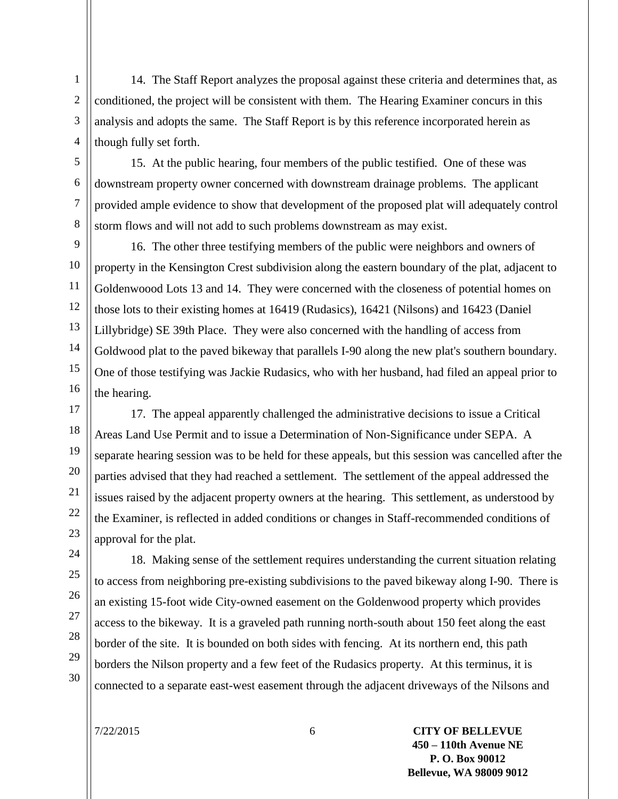1 2 3 4 14. The Staff Report analyzes the proposal against these criteria and determines that, as conditioned, the project will be consistent with them. The Hearing Examiner concurs in this analysis and adopts the same. The Staff Report is by this reference incorporated herein as though fully set forth.

5 6 7 8 15. At the public hearing, four members of the public testified. One of these was downstream property owner concerned with downstream drainage problems. The applicant provided ample evidence to show that development of the proposed plat will adequately control storm flows and will not add to such problems downstream as may exist.

9 10 11 12 13 14 15 16 16. The other three testifying members of the public were neighbors and owners of property in the Kensington Crest subdivision along the eastern boundary of the plat, adjacent to Goldenwoood Lots 13 and 14. They were concerned with the closeness of potential homes on those lots to their existing homes at 16419 (Rudasics), 16421 (Nilsons) and 16423 (Daniel Lillybridge) SE 39th Place. They were also concerned with the handling of access from Goldwood plat to the paved bikeway that parallels I-90 along the new plat's southern boundary. One of those testifying was Jackie Rudasics, who with her husband, had filed an appeal prior to the hearing.

17 18 19 20 21 22 23 17. The appeal apparently challenged the administrative decisions to issue a Critical Areas Land Use Permit and to issue a Determination of Non-Significance under SEPA. A separate hearing session was to be held for these appeals, but this session was cancelled after the parties advised that they had reached a settlement. The settlement of the appeal addressed the issues raised by the adjacent property owners at the hearing. This settlement, as understood by the Examiner, is reflected in added conditions or changes in Staff-recommended conditions of approval for the plat.

18. Making sense of the settlement requires understanding the current situation relating to access from neighboring pre-existing subdivisions to the paved bikeway along I-90. There is an existing 15-foot wide City-owned easement on the Goldenwood property which provides access to the bikeway. It is a graveled path running north-south about 150 feet along the east border of the site. It is bounded on both sides with fencing. At its northern end, this path borders the Nilson property and a few feet of the Rudasics property. At this terminus, it is connected to a separate east-west easement through the adjacent driveways of the Nilsons and

24 25

26

27

28 29

30

7/22/2015 6 **CITY OF BELLEVUE**-6- **450 – 110th Avenue NE P. O. Box 90012 Bellevue, WA 98009 9012**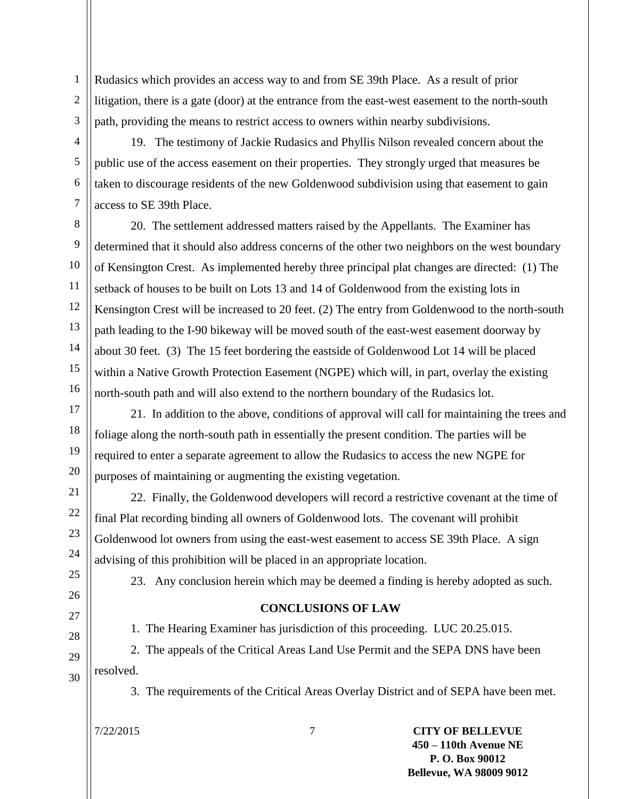1 2 3 Rudasics which provides an access way to and from SE 39th Place. As a result of prior litigation, there is a gate (door) at the entrance from the east-west easement to the north-south path, providing the means to restrict access to owners within nearby subdivisions.

4 5 7 19. The testimony of Jackie Rudasics and Phyllis Nilson revealed concern about the public use of the access easement on their properties. They strongly urged that measures be taken to discourage residents of the new Goldenwood subdivision using that easement to gain access to SE 39th Place.

8 9 10 11 12 13 14 15 16 20. The settlement addressed matters raised by the Appellants. The Examiner has determined that it should also address concerns of the other two neighbors on the west boundary of Kensington Crest. As implemented hereby three principal plat changes are directed: (1) The setback of houses to be built on Lots 13 and 14 of Goldenwood from the existing lots in Kensington Crest will be increased to 20 feet. (2) The entry from Goldenwood to the north-south path leading to the I-90 bikeway will be moved south of the east-west easement doorway by about 30 feet. (3) The 15 feet bordering the eastside of Goldenwood Lot 14 will be placed within a Native Growth Protection Easement (NGPE) which will, in part, overlay the existing north-south path and will also extend to the northern boundary of the Rudasics lot.

17 18 19 20 21. In addition to the above, conditions of approval will call for maintaining the trees and foliage along the north-south path in essentially the present condition. The parties will be required to enter a separate agreement to allow the Rudasics to access the new NGPE for purposes of maintaining or augmenting the existing vegetation.

22. Finally, the Goldenwood developers will record a restrictive covenant at the time of final Plat recording binding all owners of Goldenwood lots. The covenant will prohibit Goldenwood lot owners from using the east-west easement to access SE 39th Place. A sign advising of this prohibition will be placed in an appropriate location.

25 26

21 22

23

24

6

27

28

29

23. Any conclusion herein which may be deemed a finding is hereby adopted as such.

## **CONCLUSIONS OF LAW**

1. The Hearing Examiner has jurisdiction of this proceeding. LUC 20.25.015.

30 2. The appeals of the Critical Areas Land Use Permit and the SEPA DNS have been resolved.

3. The requirements of the Critical Areas Overlay District and of SEPA have been met.

7/22/2015 7 **CITY OF BELLEVUE**-7- **450 – 110th Avenue NE P. O. Box 90012 Bellevue, WA 98009 9012**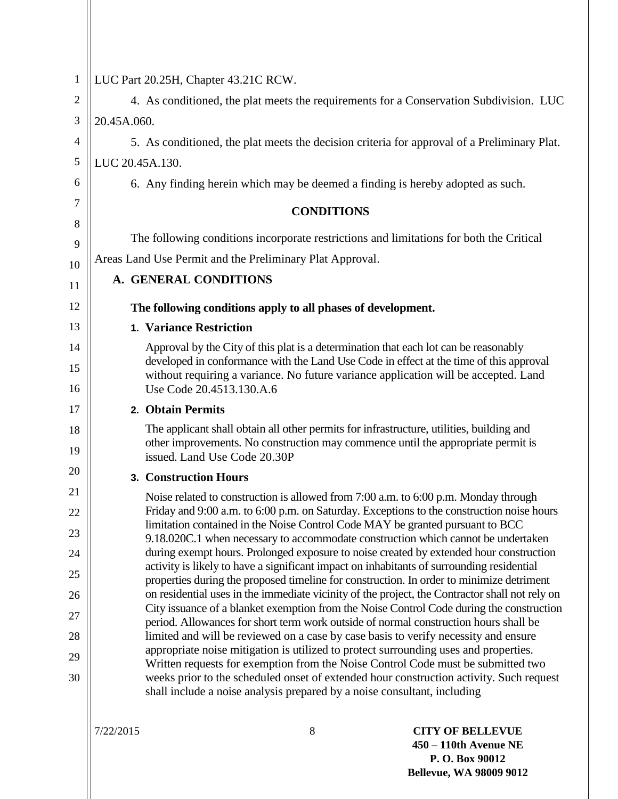| LUC Part 20.25H, Chapter 43.21C RCW.                                                                                                                                                                      |
|-----------------------------------------------------------------------------------------------------------------------------------------------------------------------------------------------------------|
| 4. As conditioned, the plat meets the requirements for a Conservation Subdivision. LUC                                                                                                                    |
| 20.45A.060.                                                                                                                                                                                               |
| 5. As conditioned, the plat meets the decision criteria for approval of a Preliminary Plat.                                                                                                               |
| LUC 20.45A.130.                                                                                                                                                                                           |
| 6. Any finding herein which may be deemed a finding is hereby adopted as such.                                                                                                                            |
| <b>CONDITIONS</b>                                                                                                                                                                                         |
|                                                                                                                                                                                                           |
| The following conditions incorporate restrictions and limitations for both the Critical                                                                                                                   |
| Areas Land Use Permit and the Preliminary Plat Approval.                                                                                                                                                  |
| A. GENERAL CONDITIONS                                                                                                                                                                                     |
| The following conditions apply to all phases of development.                                                                                                                                              |
| <b>1. Variance Restriction</b>                                                                                                                                                                            |
| Approval by the City of this plat is a determination that each lot can be reasonably                                                                                                                      |
| developed in conformance with the Land Use Code in effect at the time of this approval<br>without requiring a variance. No future variance application will be accepted. Land<br>Use Code 20.4513.130.A.6 |
| 2. Obtain Permits                                                                                                                                                                                         |
| The applicant shall obtain all other permits for infrastructure, utilities, building and                                                                                                                  |
| other improvements. No construction may commence until the appropriate permit is<br>issued. Land Use Code 20.30P                                                                                          |
| 3. Construction Hours                                                                                                                                                                                     |
| Noise related to construction is allowed from 7:00 a.m. to 6:00 p.m. Monday through                                                                                                                       |
| Friday and 9:00 a.m. to 6:00 p.m. on Saturday. Exceptions to the construction noise hours<br>limitation contained in the Noise Control Code MAY be granted pursuant to BCC                                |
| 9.18.020C.1 when necessary to accommodate construction which cannot be undertaken                                                                                                                         |
| during exempt hours. Prolonged exposure to noise created by extended hour construction<br>activity is likely to have a significant impact on inhabitants of surrounding residential                       |
| properties during the proposed timeline for construction. In order to minimize detriment                                                                                                                  |
| on residential uses in the immediate vicinity of the project, the Contractor shall not rely on<br>City issuance of a blanket exemption from the Noise Control Code during the construction                |
| period. Allowances for short term work outside of normal construction hours shall be                                                                                                                      |
| limited and will be reviewed on a case by case basis to verify necessity and ensure<br>appropriate noise mitigation is utilized to protect surrounding uses and properties.                               |
| Written requests for exemption from the Noise Control Code must be submitted two                                                                                                                          |
| weeks prior to the scheduled onset of extended hour construction activity. Such request<br>shall include a noise analysis prepared by a noise consultant, including                                       |
|                                                                                                                                                                                                           |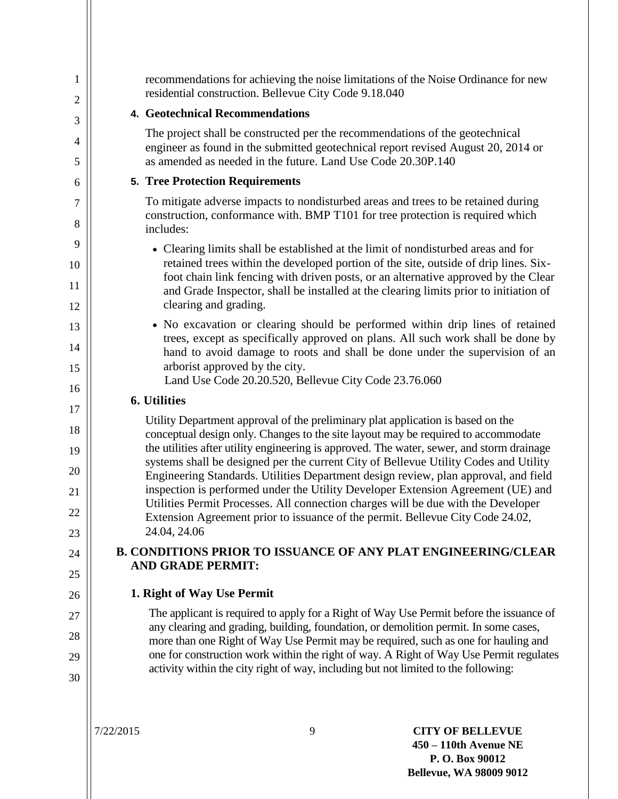| $\mathbf{1}$<br>$\overline{2}$ | recommendations for achieving the noise limitations of the Noise Ordinance for new<br>residential construction. Bellevue City Code 9.18.040                                                      |
|--------------------------------|--------------------------------------------------------------------------------------------------------------------------------------------------------------------------------------------------|
| 3                              | <b>4. Geotechnical Recommendations</b>                                                                                                                                                           |
| 4                              | The project shall be constructed per the recommendations of the geotechnical<br>engineer as found in the submitted geotechnical report revised August 20, 2014 or                                |
| 5                              | as amended as needed in the future. Land Use Code 20.30P.140                                                                                                                                     |
| 6                              | <b>5. Tree Protection Requirements</b>                                                                                                                                                           |
| 7<br>8                         | To mitigate adverse impacts to nondisturbed areas and trees to be retained during<br>construction, conformance with. BMP T101 for tree protection is required which<br>includes:                 |
| 9                              | • Clearing limits shall be established at the limit of nondisturbed areas and for                                                                                                                |
| 10<br>11                       | retained trees within the developed portion of the site, outside of drip lines. Six-<br>foot chain link fencing with driven posts, or an alternative approved by the Clear                       |
| 12                             | and Grade Inspector, shall be installed at the clearing limits prior to initiation of<br>clearing and grading.                                                                                   |
| 13                             | • No excavation or clearing should be performed within drip lines of retained                                                                                                                    |
| 14<br>15                       | trees, except as specifically approved on plans. All such work shall be done by<br>hand to avoid damage to roots and shall be done under the supervision of an<br>arborist approved by the city. |
|                                | Land Use Code 20.20.520, Bellevue City Code 23.76.060                                                                                                                                            |
| 16                             | 6. Utilities                                                                                                                                                                                     |
| 17                             | Utility Department approval of the preliminary plat application is based on the                                                                                                                  |
| 18<br>19                       | conceptual design only. Changes to the site layout may be required to accommodate<br>the utilities after utility engineering is approved. The water, sewer, and storm drainage                   |
| 20                             | systems shall be designed per the current City of Bellevue Utility Codes and Utility<br>Engineering Standards. Utilities Department design review, plan approval, and field                      |
| 21                             | inspection is performed under the Utility Developer Extension Agreement (UE) and<br>Utilities Permit Processes. All connection charges will be due with the Developer                            |
| 22                             | Extension Agreement prior to issuance of the permit. Bellevue City Code 24.02,                                                                                                                   |
| 23                             | 24.04, 24.06                                                                                                                                                                                     |
| 24                             | <b>B. CONDITIONS PRIOR TO ISSUANCE OF ANY PLAT ENGINEERING/CLEAR</b><br><b>AND GRADE PERMIT:</b>                                                                                                 |
| 25                             |                                                                                                                                                                                                  |
| 26                             | 1. Right of Way Use Permit                                                                                                                                                                       |
| 27                             | The applicant is required to apply for a Right of Way Use Permit before the issuance of<br>any clearing and grading, building, foundation, or demolition permit. In some cases,                  |
| 28                             | more than one Right of Way Use Permit may be required, such as one for hauling and                                                                                                               |
| 29                             | one for construction work within the right of way. A Right of Way Use Permit regulates                                                                                                           |
| 30                             | activity within the city right of way, including but not limited to the following:                                                                                                               |
|                                |                                                                                                                                                                                                  |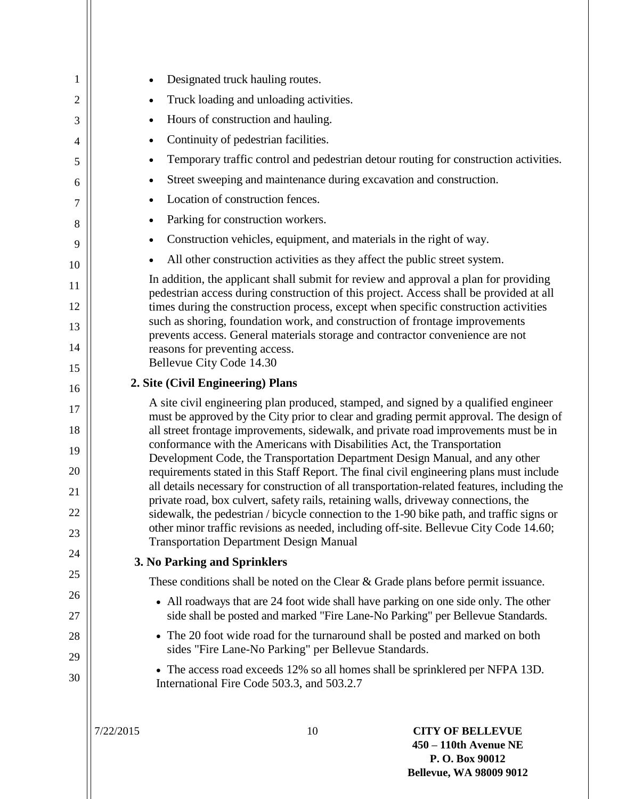| 1  | Designated truck hauling routes.<br>$\bullet$                                                                                                                                    |
|----|----------------------------------------------------------------------------------------------------------------------------------------------------------------------------------|
| 2  | Truck loading and unloading activities.<br>$\bullet$                                                                                                                             |
| 3  | Hours of construction and hauling.<br>$\bullet$                                                                                                                                  |
| 4  | Continuity of pedestrian facilities.<br>$\bullet$                                                                                                                                |
| 5  | Temporary traffic control and pedestrian detour routing for construction activities.<br>٠                                                                                        |
| 6  | Street sweeping and maintenance during excavation and construction.<br>$\bullet$                                                                                                 |
| 7  | Location of construction fences.<br>$\bullet$                                                                                                                                    |
| 8  | Parking for construction workers.<br>٠                                                                                                                                           |
| 9  | Construction vehicles, equipment, and materials in the right of way.<br>$\bullet$                                                                                                |
| 10 | All other construction activities as they affect the public street system.                                                                                                       |
| 11 | In addition, the applicant shall submit for review and approval a plan for providing<br>pedestrian access during construction of this project. Access shall be provided at all   |
| 12 | times during the construction process, except when specific construction activities                                                                                              |
| 13 | such as shoring, foundation work, and construction of frontage improvements<br>prevents access. General materials storage and contractor convenience are not                     |
| 14 | reasons for preventing access.                                                                                                                                                   |
| 15 | Bellevue City Code 14.30                                                                                                                                                         |
| 16 | 2. Site (Civil Engineering) Plans                                                                                                                                                |
| 17 | A site civil engineering plan produced, stamped, and signed by a qualified engineer<br>must be approved by the City prior to clear and grading permit approval. The design of    |
| 18 | all street frontage improvements, sidewalk, and private road improvements must be in                                                                                             |
| 19 | conformance with the Americans with Disabilities Act, the Transportation                                                                                                         |
| 20 | Development Code, the Transportation Department Design Manual, and any other<br>requirements stated in this Staff Report. The final civil engineering plans must include         |
| 21 | all details necessary for construction of all transportation-related features, including the                                                                                     |
| 22 | private road, box culvert, safety rails, retaining walls, driveway connections, the<br>sidewalk, the pedestrian / bicycle connection to the 1-90 bike path, and traffic signs or |
| 23 | other minor traffic revisions as needed, including off-site. Bellevue City Code 14.60;                                                                                           |
| 24 | <b>Transportation Department Design Manual</b>                                                                                                                                   |
| 25 | 3. No Parking and Sprinklers                                                                                                                                                     |
| 26 | These conditions shall be noted on the Clear $\&$ Grade plans before permit issuance.                                                                                            |
| 27 | • All roadways that are 24 foot wide shall have parking on one side only. The other<br>side shall be posted and marked "Fire Lane-No Parking" per Bellevue Standards.            |
| 28 | • The 20 foot wide road for the turnaround shall be posted and marked on both                                                                                                    |
| 29 | sides "Fire Lane-No Parking" per Bellevue Standards.                                                                                                                             |
| 30 | • The access road exceeds 12% so all homes shall be sprinklered per NFPA 13D.<br>International Fire Code 503.3, and 503.2.7                                                      |
|    |                                                                                                                                                                                  |
|    | 7/22/2015<br>10<br><b>CITY OF BELLEVUE</b>                                                                                                                                       |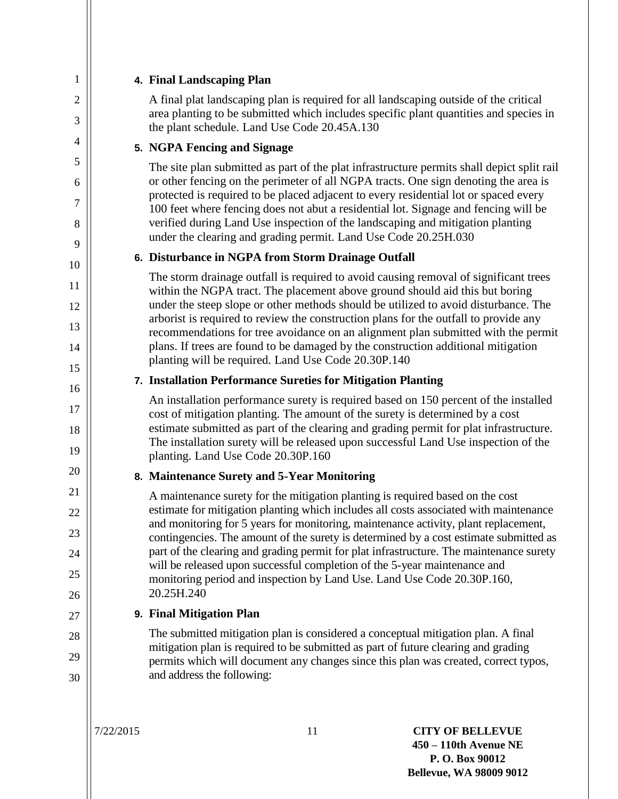| 1                   |           | 4. Final Landscaping Plan                                                                                                                                                                                                                                          |
|---------------------|-----------|--------------------------------------------------------------------------------------------------------------------------------------------------------------------------------------------------------------------------------------------------------------------|
| $\overline{2}$<br>3 |           | A final plat landscaping plan is required for all landscaping outside of the critical<br>area planting to be submitted which includes specific plant quantities and species in<br>the plant schedule. Land Use Code 20.45A.130                                     |
| 4                   |           | 5. NGPA Fencing and Signage                                                                                                                                                                                                                                        |
| 5                   |           | The site plan submitted as part of the plat infrastructure permits shall depict split rail                                                                                                                                                                         |
| 6<br>7              |           | or other fencing on the perimeter of all NGPA tracts. One sign denoting the area is<br>protected is required to be placed adjacent to every residential lot or spaced every<br>100 feet where fencing does not abut a residential lot. Signage and fencing will be |
| 8<br>9              |           | verified during Land Use inspection of the landscaping and mitigation planting<br>under the clearing and grading permit. Land Use Code 20.25H.030                                                                                                                  |
| 10                  |           | 6. Disturbance in NGPA from Storm Drainage Outfall                                                                                                                                                                                                                 |
| 11                  |           | The storm drainage outfall is required to avoid causing removal of significant trees<br>within the NGPA tract. The placement above ground should aid this but boring                                                                                               |
| 12                  |           | under the steep slope or other methods should be utilized to avoid disturbance. The<br>arborist is required to review the construction plans for the outfall to provide any                                                                                        |
| 13<br>14            |           | recommendations for tree avoidance on an alignment plan submitted with the permit<br>plans. If trees are found to be damaged by the construction additional mitigation                                                                                             |
| 15                  |           | planting will be required. Land Use Code 20.30P.140                                                                                                                                                                                                                |
| 16                  |           | 7. Installation Performance Sureties for Mitigation Planting                                                                                                                                                                                                       |
| 17<br>18            |           | An installation performance surety is required based on 150 percent of the installed<br>cost of mitigation planting. The amount of the surety is determined by a cost<br>estimate submitted as part of the clearing and grading permit for plat infrastructure.    |
| 19                  |           | The installation surety will be released upon successful Land Use inspection of the<br>planting. Land Use Code 20.30P.160                                                                                                                                          |
| 20                  |           | 8. Maintenance Surety and 5-Year Monitoring                                                                                                                                                                                                                        |
| 21<br>22            |           | A maintenance surety for the mitigation planting is required based on the cost<br>estimate for mitigation planting which includes all costs associated with maintenance                                                                                            |
| 23                  |           | and monitoring for 5 years for monitoring, maintenance activity, plant replacement,<br>contingencies. The amount of the surety is determined by a cost estimate submitted as                                                                                       |
| 24                  |           | part of the clearing and grading permit for plat infrastructure. The maintenance surety                                                                                                                                                                            |
| 25                  |           | will be released upon successful completion of the 5-year maintenance and<br>monitoring period and inspection by Land Use. Land Use Code 20.30P.160,                                                                                                               |
| 26                  |           | 20.25H.240                                                                                                                                                                                                                                                         |
| 27                  |           | 9. Final Mitigation Plan                                                                                                                                                                                                                                           |
| 28                  |           | The submitted mitigation plan is considered a conceptual mitigation plan. A final                                                                                                                                                                                  |
| 29                  |           | mitigation plan is required to be submitted as part of future clearing and grading<br>permits which will document any changes since this plan was created, correct typos,                                                                                          |
| 30                  |           | and address the following:                                                                                                                                                                                                                                         |
|                     | 7/22/2015 | 11<br><b>CITY OF BELLEVUE</b>                                                                                                                                                                                                                                      |

**450 – 110th Avenue NE P. O. Box 90012 Bellevue, WA 98009 9012**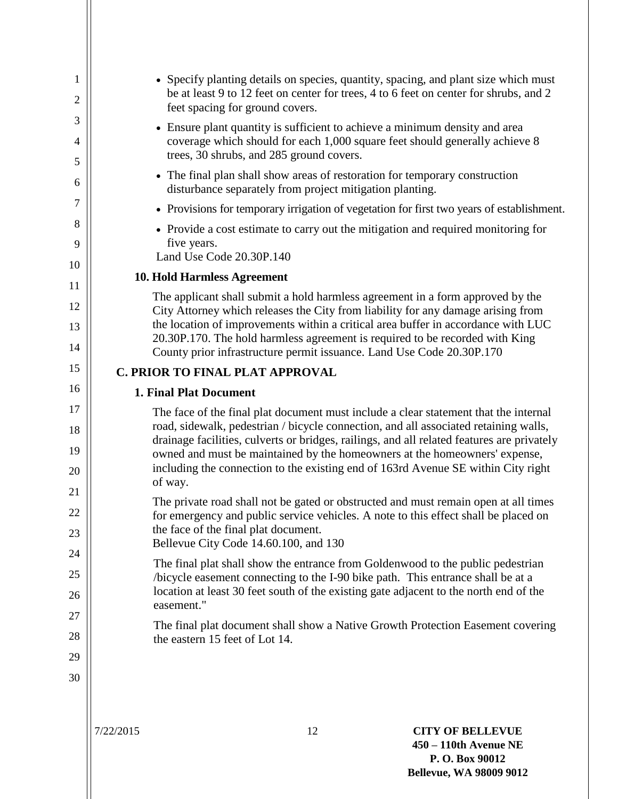| 1<br>2      | • Specify planting details on species, quantity, spacing, and plant size which must<br>be at least 9 to 12 feet on center for trees, 4 to 6 feet on center for shrubs, and 2<br>feet spacing for ground covers. |
|-------------|-----------------------------------------------------------------------------------------------------------------------------------------------------------------------------------------------------------------|
| 3<br>4<br>5 | • Ensure plant quantity is sufficient to achieve a minimum density and area<br>coverage which should for each 1,000 square feet should generally achieve 8<br>trees, 30 shrubs, and 285 ground covers.          |
| 6           | • The final plan shall show areas of restoration for temporary construction<br>disturbance separately from project mitigation planting.                                                                         |
| 7           | • Provisions for temporary irrigation of vegetation for first two years of establishment.                                                                                                                       |
| 8<br>9      | • Provide a cost estimate to carry out the mitigation and required monitoring for<br>five years.<br>Land Use Code 20.30P.140                                                                                    |
| 10          | <b>10. Hold Harmless Agreement</b>                                                                                                                                                                              |
| 11          | The applicant shall submit a hold harmless agreement in a form approved by the                                                                                                                                  |
| 12<br>13    | City Attorney which releases the City from liability for any damage arising from<br>the location of improvements within a critical area buffer in accordance with LUC                                           |
| 14          | 20.30P.170. The hold harmless agreement is required to be recorded with King<br>County prior infrastructure permit issuance. Land Use Code 20.30P.170                                                           |
| 15          | C. PRIOR TO FINAL PLAT APPROVAL                                                                                                                                                                                 |
| 16          | <b>1. Final Plat Document</b>                                                                                                                                                                                   |
| 17          | The face of the final plat document must include a clear statement that the internal                                                                                                                            |
| 18          | road, sidewalk, pedestrian / bicycle connection, and all associated retaining walls,<br>drainage facilities, culverts or bridges, railings, and all related features are privately                              |
| 19<br>20    | owned and must be maintained by the homeowners at the homeowners' expense,<br>including the connection to the existing end of 163rd Avenue SE within City right                                                 |
| 21          | of way.                                                                                                                                                                                                         |
| 22          | The private road shall not be gated or obstructed and must remain open at all times<br>for emergency and public service vehicles. A note to this effect shall be placed on                                      |
| 23          | the face of the final plat document.                                                                                                                                                                            |
| 24          | Bellevue City Code 14.60.100, and 130                                                                                                                                                                           |
| 25          | The final plat shall show the entrance from Goldenwood to the public pedestrian<br>/bicycle easement connecting to the I-90 bike path. This entrance shall be at a                                              |
| 26          | location at least 30 feet south of the existing gate adjacent to the north end of the                                                                                                                           |
| 27          | easement."                                                                                                                                                                                                      |
| 28          | The final plat document shall show a Native Growth Protection Easement covering<br>the eastern 15 feet of Lot 14.                                                                                               |
| 29          |                                                                                                                                                                                                                 |
| 30          |                                                                                                                                                                                                                 |
|             |                                                                                                                                                                                                                 |
|             |                                                                                                                                                                                                                 |
|             |                                                                                                                                                                                                                 |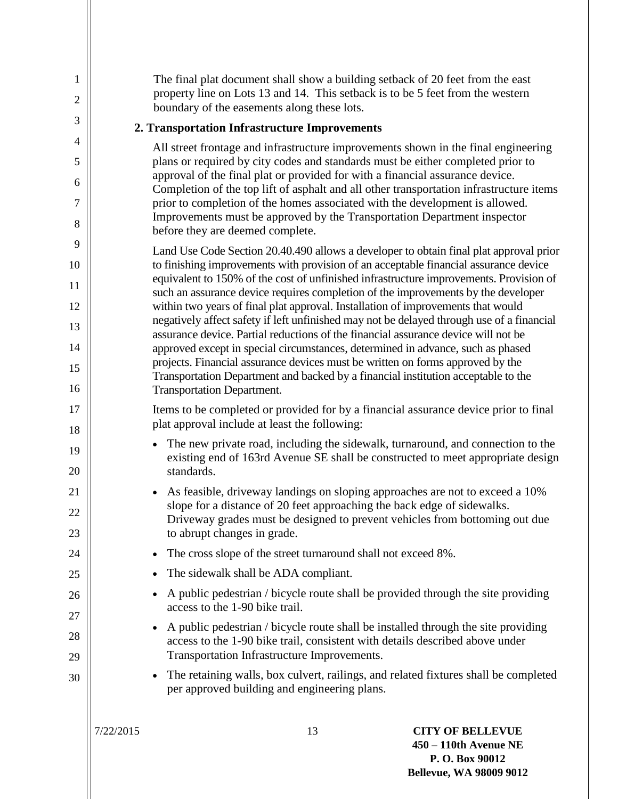| 1<br>$\mathfrak{2}$ |           | The final plat document shall show a building setback of 20 feet from the east<br>property line on Lots 13 and 14. This setback is to be 5 feet from the western                                                                                    |                                                                                                      |
|---------------------|-----------|-----------------------------------------------------------------------------------------------------------------------------------------------------------------------------------------------------------------------------------------------------|------------------------------------------------------------------------------------------------------|
| 3                   |           | boundary of the easements along these lots.                                                                                                                                                                                                         |                                                                                                      |
| 4                   |           | 2. Transportation Infrastructure Improvements                                                                                                                                                                                                       |                                                                                                      |
| 5                   |           | All street frontage and infrastructure improvements shown in the final engineering<br>plans or required by city codes and standards must be either completed prior to                                                                               |                                                                                                      |
| 6                   |           | approval of the final plat or provided for with a financial assurance device.<br>Completion of the top lift of asphalt and all other transportation infrastructure items                                                                            |                                                                                                      |
| 7                   |           | prior to completion of the homes associated with the development is allowed.<br>Improvements must be approved by the Transportation Department inspector                                                                                            |                                                                                                      |
| 8                   |           | before they are deemed complete.                                                                                                                                                                                                                    |                                                                                                      |
| 9                   |           | Land Use Code Section 20.40.490 allows a developer to obtain final plat approval prior                                                                                                                                                              |                                                                                                      |
| 10                  |           | to finishing improvements with provision of an acceptable financial assurance device<br>equivalent to 150% of the cost of unfinished infrastructure improvements. Provision of                                                                      |                                                                                                      |
| 11<br>12            |           | such an assurance device requires completion of the improvements by the developer<br>within two years of final plat approval. Installation of improvements that would                                                                               |                                                                                                      |
| 13                  |           | negatively affect safety if left unfinished may not be delayed through use of a financial                                                                                                                                                           |                                                                                                      |
| 14                  |           | assurance device. Partial reductions of the financial assurance device will not be<br>approved except in special circumstances, determined in advance, such as phased                                                                               |                                                                                                      |
| 15                  |           | projects. Financial assurance devices must be written on forms approved by the                                                                                                                                                                      |                                                                                                      |
| 16                  |           | Transportation Department and backed by a financial institution acceptable to the<br><b>Transportation Department.</b>                                                                                                                              |                                                                                                      |
| 17                  |           | Items to be completed or provided for by a financial assurance device prior to final                                                                                                                                                                |                                                                                                      |
| 18                  |           | plat approval include at least the following:                                                                                                                                                                                                       |                                                                                                      |
| 19                  |           | The new private road, including the sidewalk, turnaround, and connection to the<br>$\bullet$<br>existing end of 163rd Avenue SE shall be constructed to meet appropriate design                                                                     |                                                                                                      |
| 20                  |           | standards.                                                                                                                                                                                                                                          |                                                                                                      |
| 21<br>22            |           | As feasible, driveway landings on sloping approaches are not to exceed a 10%<br>$\bullet$<br>slope for a distance of 20 feet approaching the back edge of sidewalks.<br>Driveway grades must be designed to prevent vehicles from bottoming out due |                                                                                                      |
| 23                  |           | to abrupt changes in grade.                                                                                                                                                                                                                         |                                                                                                      |
| 24                  |           | The cross slope of the street turnaround shall not exceed 8%.<br>$\bullet$                                                                                                                                                                          |                                                                                                      |
| 25                  |           | The sidewalk shall be ADA compliant.                                                                                                                                                                                                                |                                                                                                      |
| 26                  |           | A public pedestrian / bicycle route shall be provided through the site providing<br>$\bullet$                                                                                                                                                       |                                                                                                      |
| 27                  |           | access to the 1-90 bike trail.                                                                                                                                                                                                                      |                                                                                                      |
| 28                  |           | A public pedestrian / bicycle route shall be installed through the site providing<br>$\bullet$<br>access to the 1-90 bike trail, consistent with details described above under                                                                      |                                                                                                      |
| 29                  |           | Transportation Infrastructure Improvements.                                                                                                                                                                                                         |                                                                                                      |
| 30                  |           | The retaining walls, box culvert, railings, and related fixtures shall be completed<br>$\bullet$<br>per approved building and engineering plans.                                                                                                    |                                                                                                      |
|                     | 7/22/2015 | 13                                                                                                                                                                                                                                                  | <b>CITY OF BELLEVUE</b><br>450 – 110th Avenue NE<br>P.O. Box 90012<br><b>Bellevue, WA 98009 9012</b> |

 $\parallel$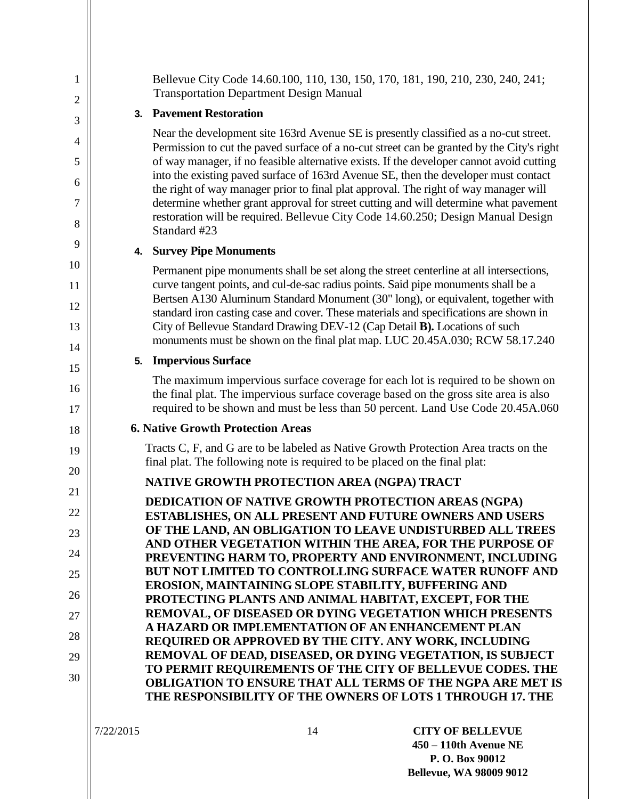| $\mathbf 1$<br>2 | Bellevue City Code 14.60.100, 110, 130, 150, 170, 181, 190, 210, 230, 240, 241;<br><b>Transportation Department Design Manual</b>                                                                                                                          |
|------------------|------------------------------------------------------------------------------------------------------------------------------------------------------------------------------------------------------------------------------------------------------------|
| 3                | 3. Pavement Restoration                                                                                                                                                                                                                                    |
| 4                | Near the development site 163rd Avenue SE is presently classified as a no-cut street.<br>Permission to cut the paved surface of a no-cut street can be granted by the City's right                                                                         |
| 5                | of way manager, if no feasible alternative exists. If the developer cannot avoid cutting<br>into the existing paved surface of 163rd Avenue SE, then the developer must contact                                                                            |
| 6<br>7           | the right of way manager prior to final plat approval. The right of way manager will<br>determine whether grant approval for street cutting and will determine what pavement                                                                               |
| 8                | restoration will be required. Bellevue City Code 14.60.250; Design Manual Design<br>Standard #23                                                                                                                                                           |
| 9                | 4. Survey Pipe Monuments                                                                                                                                                                                                                                   |
| 10<br>11         | Permanent pipe monuments shall be set along the street centerline at all intersections,<br>curve tangent points, and cul-de-sac radius points. Said pipe monuments shall be a                                                                              |
| 12               | Bertsen A130 Aluminum Standard Monument (30" long), or equivalent, together with<br>standard iron casting case and cover. These materials and specifications are shown in                                                                                  |
| 13               | City of Bellevue Standard Drawing DEV-12 (Cap Detail B). Locations of such                                                                                                                                                                                 |
| 14               | monuments must be shown on the final plat map. LUC 20.45A.030; RCW 58.17.240                                                                                                                                                                               |
| 15               | <b>Impervious Surface</b><br>5.                                                                                                                                                                                                                            |
| 16<br>17         | The maximum impervious surface coverage for each lot is required to be shown on<br>the final plat. The impervious surface coverage based on the gross site area is also<br>required to be shown and must be less than 50 percent. Land Use Code 20.45A.060 |
| 18               | <b>6. Native Growth Protection Areas</b>                                                                                                                                                                                                                   |
| 19<br>20         | Tracts C, F, and G are to be labeled as Native Growth Protection Area tracts on the<br>final plat. The following note is required to be placed on the final plat:                                                                                          |
| 21               | NATIVE GROWTH PROTECTION AREA (NGPA) TRACT                                                                                                                                                                                                                 |
| 22               | <b>DEDICATION OF NATIVE GROWTH PROTECTION AREAS (NGPA)</b>                                                                                                                                                                                                 |
| 23               | ESTABLISHES, ON ALL PRESENT AND FUTURE OWNERS AND USERS<br>OF THE LAND, AN OBLIGATION TO LEAVE UNDISTURBED ALL TREES                                                                                                                                       |
| 24               | AND OTHER VEGETATION WITHIN THE AREA, FOR THE PURPOSE OF                                                                                                                                                                                                   |
| 25               | PREVENTING HARM TO, PROPERTY AND ENVIRONMENT, INCLUDING<br><b>BUT NOT LIMITED TO CONTROLLING SURFACE WATER RUNOFF AND</b>                                                                                                                                  |
| 26               | EROSION, MAINTAINING SLOPE STABILITY, BUFFERING AND                                                                                                                                                                                                        |
| 27               | PROTECTING PLANTS AND ANIMAL HABITAT, EXCEPT, FOR THE<br>REMOVAL, OF DISEASED OR DYING VEGETATION WHICH PRESENTS                                                                                                                                           |
| 28               | A HAZARD OR IMPLEMENTATION OF AN ENHANCEMENT PLAN                                                                                                                                                                                                          |
| 29               | REQUIRED OR APPROVED BY THE CITY. ANY WORK, INCLUDING<br>REMOVAL OF DEAD, DISEASED, OR DYING VEGETATION, IS SUBJECT                                                                                                                                        |
| 30               | TO PERMIT REQUIREMENTS OF THE CITY OF BELLEVUE CODES. THE                                                                                                                                                                                                  |
|                  | <b>OBLIGATION TO ENSURE THAT ALL TERMS OF THE NGPA ARE MET IS</b><br>THE RESPONSIBILITY OF THE OWNERS OF LOTS 1 THROUGH 17. THE                                                                                                                            |
|                  |                                                                                                                                                                                                                                                            |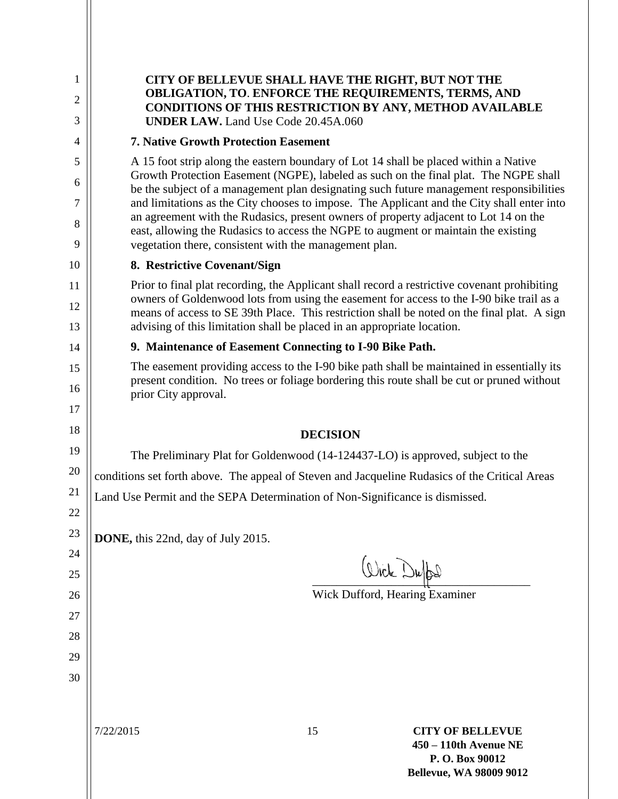| 1              | CITY OF BELLEVUE SHALL HAVE THE RIGHT, BUT NOT THE                                                                                                                                                                                                                                      |  |
|----------------|-----------------------------------------------------------------------------------------------------------------------------------------------------------------------------------------------------------------------------------------------------------------------------------------|--|
| $\overline{2}$ | <b>OBLIGATION, TO. ENFORCE THE REQUIREMENTS, TERMS, AND</b><br><b>CONDITIONS OF THIS RESTRICTION BY ANY, METHOD AVAILABLE</b>                                                                                                                                                           |  |
| 3              | <b>UNDER LAW.</b> Land Use Code 20.45A.060                                                                                                                                                                                                                                              |  |
| $\overline{4}$ | <b>7. Native Growth Protection Easement</b>                                                                                                                                                                                                                                             |  |
| 5<br>6         | A 15 foot strip along the eastern boundary of Lot 14 shall be placed within a Native<br>Growth Protection Easement (NGPE), labeled as such on the final plat. The NGPE shall<br>be the subject of a management plan designating such future management responsibilities                 |  |
| 7              | and limitations as the City chooses to impose. The Applicant and the City shall enter into                                                                                                                                                                                              |  |
| 8<br>9         | an agreement with the Rudasics, present owners of property adjacent to Lot 14 on the<br>east, allowing the Rudasics to access the NGPE to augment or maintain the existing                                                                                                              |  |
|                | vegetation there, consistent with the management plan.                                                                                                                                                                                                                                  |  |
| 10             | 8. Restrictive Covenant/Sign                                                                                                                                                                                                                                                            |  |
| 11<br>12       | Prior to final plat recording, the Applicant shall record a restrictive covenant prohibiting<br>owners of Goldenwood lots from using the easement for access to the I-90 bike trail as a<br>means of access to SE 39th Place. This restriction shall be noted on the final plat. A sign |  |
| 13             | advising of this limitation shall be placed in an appropriate location.                                                                                                                                                                                                                 |  |
| 14             | 9. Maintenance of Easement Connecting to I-90 Bike Path.                                                                                                                                                                                                                                |  |
| 15             | The easement providing access to the I-90 bike path shall be maintained in essentially its                                                                                                                                                                                              |  |
| 16             | present condition. No trees or foliage bordering this route shall be cut or pruned without<br>prior City approval.                                                                                                                                                                      |  |
| 17             |                                                                                                                                                                                                                                                                                         |  |
| 18             | <b>DECISION</b>                                                                                                                                                                                                                                                                         |  |
| 19             | The Preliminary Plat for Goldenwood (14-124437-LO) is approved, subject to the                                                                                                                                                                                                          |  |
| 20             | conditions set forth above. The appeal of Steven and Jacqueline Rudasics of the Critical Areas                                                                                                                                                                                          |  |
| 21             | Land Use Permit and the SEPA Determination of Non-Significance is dismissed.                                                                                                                                                                                                            |  |
| 22             |                                                                                                                                                                                                                                                                                         |  |
| 23             | DONE, this 22nd, day of July 2015.                                                                                                                                                                                                                                                      |  |
| 24             | Write Duffel                                                                                                                                                                                                                                                                            |  |
| 25             |                                                                                                                                                                                                                                                                                         |  |
| 26             | Wick Dufford, Hearing Examiner                                                                                                                                                                                                                                                          |  |
| 27<br>28       |                                                                                                                                                                                                                                                                                         |  |
| 29             |                                                                                                                                                                                                                                                                                         |  |
| 30             |                                                                                                                                                                                                                                                                                         |  |
|                |                                                                                                                                                                                                                                                                                         |  |
|                | 15<br>7/22/2015<br><b>CITY OF BELLEVUE</b><br>450 - 110th Avenue NE<br>P.O. Box 90012<br><b>Bellevue, WA 98009 9012</b>                                                                                                                                                                 |  |